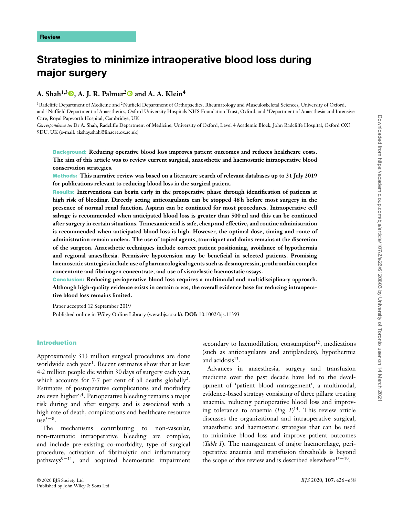# **Strategies to minimize intraoperative blood loss during major surgery**

# **A. Shah1,[3](https://orcid.org/0000-0002-1869-2231) , A. J. R. Palmer[2](https://orcid.org/0000-0003-4616-7482) and A. A. Klein4**

<sup>1</sup>Radcliffe Department of Medicine and <sup>2</sup>Nuffield Department of Orthopaedics, Rheumatology and Musculoskeletal Sciences, University of Oxford, and <sup>3</sup>Nuffield Department of Anaesthetics, Oxford University Hospitals NHS Foundation Trust, Oxford, and <sup>4</sup>Department of Anaesthesia and Intensive Care, Royal Papworth Hospital, Cambridge, UK

*Correspondence to*: Dr A. Shah, Radcliffe Department of Medicine, University of Oxford, Level 4 Academic Block, John Radcliffe Hospital, Oxford OX3 9DU, UK (e-mail: akshay.shah@linacre.ox.ac.uk)

**Background: Reducing operative blood loss improves patient outcomes and reduces healthcare costs. The aim of this article was to review current surgical, anaesthetic and haemostatic intraoperative blood conservation strategies.**

**Methods: This narrative review was based on a literature search of relevant databases up to 31 July 2019 for publications relevant to reducing blood loss in the surgical patient.**

**Results: Interventions can begin early in the preoperative phase through identification of patients at high risk of bleeding. Directly acting anticoagulants can be stopped 48 h before most surgery in the presence of normal renal function. Aspirin can be continued for most procedures. Intraoperative cell salvage is recommended when anticipated blood loss is greater than 500 ml and this can be continued after surgery in certain situations. Tranexamic acid is safe, cheap and effective, and routine administration is recommended when anticipated blood loss is high. However, the optimal dose, timing and route of administration remain unclear. The use of topical agents, tourniquet and drains remains at the discretion of the surgeon. Anaesthetic techniques include correct patient positioning, avoidance of hypothermia and regional anaesthesia. Permissive hypotension may be beneficial in selected patients. Promising haemostatic strategies include use of pharmacological agents such as desmopressin, prothrombin complex concentrate and fibrinogen concentrate, and use of viscoelastic haemostatic assays.**

**Conclusion: Reducing perioperative blood loss requires a multimodal and multidisciplinary approach. Although high-quality evidence exists in certain areas, the overall evidence base for reducing intraoperative blood loss remains limited.**

Paper accepted 12 September 2019

Published online in Wiley Online Library (www.bjs.co.uk). **DOI:** 10.1002/bjs.11393

## **Introduction**

Approximately 313 million surgical procedures are done worldwide each year<sup>1</sup>. Recent estimates show that at least 4⋅2 million people die within 30 days of surgery each year, which accounts for 7⋅7 per cent of all deaths globally<sup>2</sup>. Estimates of postoperative complications and morbidity are even higher3*,*4. Perioperative bleeding remains a major risk during and after surgery, and is associated with a high rate of death, complications and healthcare resource  $use^{5-8}$ .

The mechanisms contributing to non-vascular, non-traumatic intraoperative bleeding are complex, and include pre-existing co-morbidity, type of surgical procedure, activation of fibrinolytic and inflammatory pathways $9-11$ , and acquired haemostatic impairment secondary to haemodilution, consumption $12$ , medications (such as anticoagulants and antiplatelets), hypothermia and acidosis $13$ .

Advances in anaesthesia, surgery and transfusion medicine over the past decade have led to the development of 'patient blood management', a multimodal, evidence-based strategy consisting of three pillars: treating anaemia, reducing perioperative blood loss and improving tolerance to anaemia (*Fig*. *1*) 14. This review article discusses the organizational and intraoperative surgical, anaesthetic and haemostatic strategies that can be used to minimize blood loss and improve patient outcomes (*Table 1*). The management of major haemorrhage, perioperative anaemia and transfusion thresholds is beyond the scope of this review and is described elsewhere<sup>15–19</sup>.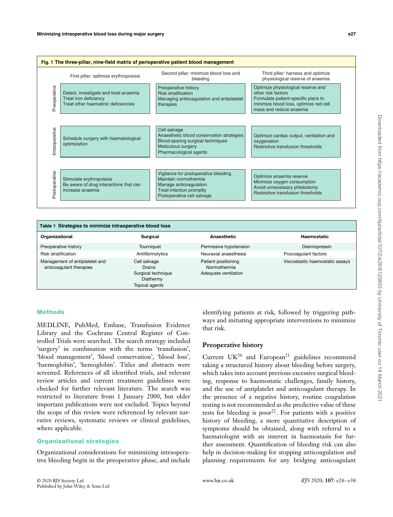| Fig. 1 The three-pillar, nine-field matrix of perioperative patient blood management |                                                                                                       |                                                                                                                                                   |                                                                                                                                                                      |  |  |  |  |
|--------------------------------------------------------------------------------------|-------------------------------------------------------------------------------------------------------|---------------------------------------------------------------------------------------------------------------------------------------------------|----------------------------------------------------------------------------------------------------------------------------------------------------------------------|--|--|--|--|
|                                                                                      | First pillar: optimize erythropoiesis                                                                 | Second pillar: minimize blood loss and<br>bleeding                                                                                                | Third pillar: harness and optimize<br>physiological reserve of anaemia                                                                                               |  |  |  |  |
| Preoperative                                                                         | Detect, investigate and treat anaemia<br>Treat iron deficiency<br>Treat other haematinic deficiencies | Preoperative history<br><b>Risk stratification</b><br>Managing anticoagulation and antiplatelet<br>therapies                                      | Optimize physiological reserve and<br>other risk factors<br>Formulate patient-specific plans to<br>minimize blood loss, optimize red cell<br>mass and reduce anaemia |  |  |  |  |
| Intraoperative                                                                       | Schedule surgery with haematological<br>optimization                                                  | Cell salvage<br>Anaesthetic blood conservation strategies<br>Blood-sparing surgical techniques<br>Meticulous surgery<br>Pharmacological agents    | Optimize cardiac output, ventilation and<br>oxygenation<br>Restrictive transfusion thresholds                                                                        |  |  |  |  |
| Postoperative                                                                        | Stimulate erythropoiesis<br>Be aware of drug interactions that can<br>increase anaemia                | Vigilance for postoperative bleeding<br>Maintain normothermia<br>Manage anticoagulation<br>Treat infection promptly<br>Postoperative cell salvage | Optimize anaemia reserve<br>Minimize oxygen consumption<br>Avoid unnecessary phlebotomy<br>Restrictive transfusion thresholds                                        |  |  |  |  |

| Table 1 Strategies to minimize intraoperative blood loss  |                                                                                    |                                                             |                                 |  |  |  |
|-----------------------------------------------------------|------------------------------------------------------------------------------------|-------------------------------------------------------------|---------------------------------|--|--|--|
| Organizational                                            | <b>Surgical</b>                                                                    | <b>Anaesthetic</b>                                          | Haemostatic                     |  |  |  |
| Preoperative history                                      | Tourniquet                                                                         | Permissive hypotension                                      | Desmopressin                    |  |  |  |
| <b>Risk stratification</b>                                | Antifibrinolytics                                                                  | Neuraxial anaesthesia                                       | Procoagulant factors            |  |  |  |
| Management of antiplatelet and<br>anticoagulant therapies | Cell salvage<br><b>Drains</b><br>Surgical technique<br>Diathermy<br>Topical agents | Patient positioning<br>Normothermia<br>Adequate ventilation | Viscoelastic haemostatic assays |  |  |  |

#### **Methods**

MEDLINE, PubMed, Embase, Transfusion Evidence Library and the Cochrane Central Register of Controlled Trials were searched. The search strategy included 'surgery' in combination with the terms 'transfusion', 'blood management', 'blood conservation', 'blood loss', 'haemoglobin', 'hemoglobin'. Titles and abstracts were screened. References of all identified trials, and relevant review articles and current treatment guidelines were checked for further relevant literature. The search was restricted to literature from 1 January 2000, but older important publications were not excluded. Topics beyond the scope of this review were referenced by relevant narrative reviews, systematic reviews or clinical guidelines, where applicable.

#### **Organizational strategies**

Organizational considerations for minimizing intraoperative bleeding begin in the preoperative phase, and include identifying patients at risk, followed by triggering pathways and initiating appropriate interventions to minimize that risk.

## **Preoperative history**

Current  $UK^{20}$  and European<sup>21</sup> guidelines recommend taking a structured history about bleeding before surgery, which takes into account previous excessive surgical bleeding, response to haemostatic challenges, family history, and the use of antiplatelet and anticoagulant therapy. In the presence of a negative history, routine coagulation testing is not recommended as the predictive value of these tests for bleeding is poor<sup>22</sup>. For patients with a positive history of bleeding, a more quantitative description of symptoms should be obtained, along with referral to a haematologist with an interest in haemostasis for further assessment. Quantification of bleeding risk can also help in decision-making for stopping anticoagulation and planning requirements for any bridging anticoagulant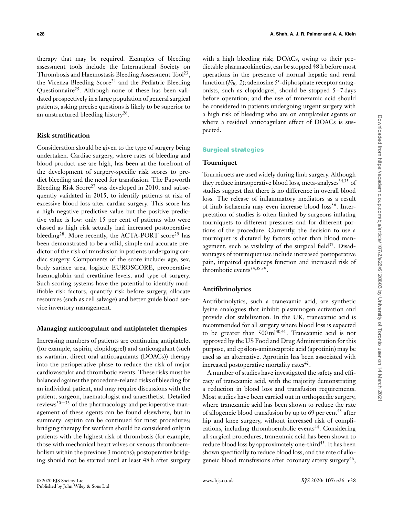therapy that may be required. Examples of bleeding assessment tools include the International Society on Thrombosis and Haemostasis Bleeding Assessment Tool<sup>23</sup>, the Vicenza Bleeding Score<sup>24</sup> and the Pediatric Bleeding Questionnaire<sup>25</sup>. Although none of these has been validated prospectively in a large population of general surgical patients, asking precise questions is likely to be superior to an unstructured bleeding history<sup>26</sup>.

## **Risk stratification**

Consideration should be given to the type of surgery being undertaken. Cardiac surgery, where rates of bleeding and blood product use are high, has been at the forefront of the development of surgery-specific risk scores to predict bleeding and the need for transfusion. The Papworth Bleeding Risk Score<sup>27</sup> was developed in 2010, and subsequently validated in 2015, to identify patients at risk of excessive blood loss after cardiac surgery. This score has a high negative predictive value but the positive predictive value is low: only 15 per cent of patients who were classed as high risk actually had increased postoperative bleeding<sup>28</sup>. More recently, the ACTA-PORT score<sup>29</sup> has been demonstrated to be a valid, simple and accurate predictor of the risk of transfusion in patients undergoing cardiac surgery. Components of the score include: age, sex, body surface area, logistic EUROSCORE, preoperative haemoglobin and creatinine levels, and type of surgery. Such scoring systems have the potential to identify modifiable risk factors, quantify risk before surgery, allocate resources (such as cell salvage) and better guide blood service inventory management.

## **Managing anticoagulant and antiplatelet therapies**

Increasing numbers of patients are continuing antiplatelet (for example, aspirin, clopidogrel) and anticoagulant (such as warfarin, direct oral anticoagulants (DOACs)) therapy into the perioperative phase to reduce the risk of major cardiovascular and thrombotic events. These risks must be balanced against the procedure-related risks of bleeding for an individual patient, and may require discussions with the patient, surgeon, haematologist and anaesthetist. Detailed reviews $30 - 33$  of the pharmacology and perioperative management of these agents can be found elsewhere, but in summary: aspirin can be continued for most procedures; bridging therapy for warfarin should be considered only in patients with the highest risk of thrombosis (for example, those with mechanical heart valves or venous thromboembolism within the previous 3 months); postoperative bridging should not be started until at least 48 h after surgery

with a high bleeding risk; DOACs, owing to their predictable pharmacokinetics, can be stopped 48 h before most operations in the presence of normal hepatic and renal function (*Fig*. *2*); adenosine 5′ -diphosphate receptor antagonists, such as clopidogrel, should be stopped 5–7 days before operation; and the use of tranexamic acid should be considered in patients undergoing urgent surgery with a high risk of bleeding who are on antiplatelet agents or where a residual anticoagulant effect of DOACs is suspected.

## **Surgical strategies**

#### **Tourniquet**

Tourniquets are used widely during limb surgery. Although they reduce intraoperative blood loss, meta-analyses<sup>34,35</sup> of studies suggest that there is no difference in overall blood loss. The release of inflammatory mediators as a result of limb ischaemia may even increase blood loss<sup>36</sup>. Interpretation of studies is often limited by surgeons inflating tourniquets to different pressures and for different portions of the procedure. Currently, the decision to use a tourniquet is dictated by factors other than blood management, such as visibility of the surgical field $37$ . Disadvantages of tourniquet use include increased postoperative pain, impaired quadriceps function and increased risk of thrombotic events<sup>34,38,39</sup>.

## **Antifibrinolytics**

Antifibrinolytics, such a tranexamic acid, are synthetic lysine analogues that inhibit plasminogen activation and provide clot stabilization. In the UK, tranexamic acid is recommended for all surgery where blood loss is expected to be greater than 500 ml<sup>40,41</sup>. Tranexamic acid is not approved by the US Food and Drug Administration for this purpose, and epsilon-aminocaproic acid (aprotinin) may be used as an alternative. Aprotinin has been associated with increased postoperative mortality rates $42$ .

A number of studies have investigated the safety and efficacy of tranexamic acid, with the majority demonstrating a reduction in blood loss and transfusion requirements. Most studies have been carried out in orthopaedic surgery, where tranexamic acid has been shown to reduce the rate of allogeneic blood transfusion by up to 69 per cent<sup>43</sup> after hip and knee surgery, without increased risk of complications, including thromboembolic events<sup>44</sup>. Considering all surgical procedures, tranexamic acid has been shown to reduce blood loss by approximately one-third<sup>45</sup>. It has been shown specifically to reduce blood loss, and the rate of allogeneic blood transfusions after coronary artery surgery<sup>46</sup>,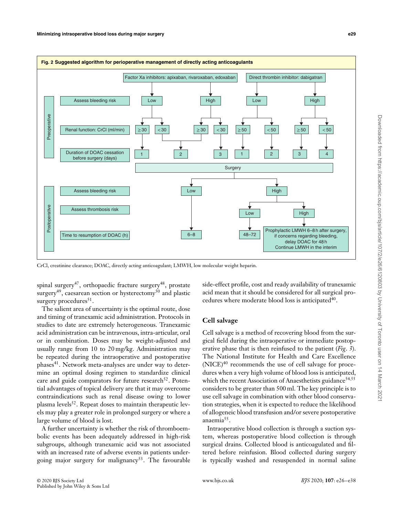



CrCl, creatinine clearance; DOAC, directly acting anticoagulant; LMWH, low molecular weight heparin.

spinal surgery<sup>47</sup>, orthopaedic fracture surgery<sup>48</sup>, prostate surgery<sup>49</sup>, caesarean section or hysterectomy<sup>50</sup> and plastic surgery procedures<sup>51</sup>.

The salient area of uncertainty is the optimal route, dose and timing of tranexamic acid administration. Protocols in studies to date are extremely heterogeneous. Tranexamic acid administration can be intravenous, intra-articular, oral or in combination. Doses may be weight-adjusted and usually range from 10 to 20 mg/kg. Administration may be repeated during the intraoperative and postoperative phases<sup>41</sup>. Network meta-analyses are under way to determine an optimal dosing regimen to standardize clinical care and guide comparators for future research $52$ . Potential advantages of topical delivery are that it may overcome contraindications such as renal disease owing to lower plasma levels<sup>52</sup>. Repeat doses to maintain therapeutic levels may play a greater role in prolonged surgery or where a large volume of blood is lost.

A further uncertainty is whether the risk of thromboembolic events has been adequately addressed in high-risk subgroups, although tranexamic acid was not associated with an increased rate of adverse events in patients undergoing major surgery for malignancy<sup>53</sup>. The favourable

side-effect profile, cost and ready availability of tranexamic acid mean that it should be considered for all surgical procedures where moderate blood loss is anticipated $40$ .

# **Cell salvage**

Cell salvage is a method of recovering blood from the surgical field during the intraoperative or immediate postoperative phase that is then reinfused to the patient (*Fig*. *3*). The National Institute for Health and Care Excellence  $(NICE)^{40}$  recommends the use of cell salvage for procedures when a very high volume of blood loss is anticipated, which the recent Association of Anaesthetists guidance<sup>54,55</sup> considers to be greater than 500 ml. The key principle is to use cell salvage in combination with other blood conservation strategies, when it is expected to reduce the likelihood of allogeneic blood transfusion and/or severe postoperative anaemia $55$ .

Intraoperative blood collection is through a suction system, whereas postoperative blood collection is through surgical drains. Collected blood is anticoagulated and filtered before reinfusion. Blood collected during surgery is typically washed and resuspended in normal saline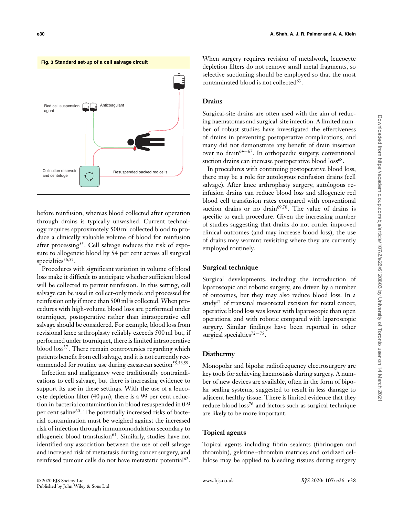

before reinfusion, whereas blood collected after operation through drains is typically unwashed. Current technology requires approximately 500 ml collected blood to produce a clinically valuable volume of blood for reinfusion after processing<sup>55</sup>. Cell salvage reduces the risk of exposure to allogeneic blood by 54 per cent across all surgical specialties<sup>56,57</sup>.

Procedures with significant variation in volume of blood loss make it difficult to anticipate whether sufficient blood will be collected to permit reinfusion. In this setting, cell salvage can be used in collect-only mode and processed for reinfusion only if more than 500 ml is collected. When procedures with high-volume blood loss are performed under tourniquet, postoperative rather than intraoperative cell salvage should be considered. For example, blood loss from revisional knee arthroplasty reliably exceeds 500 ml but, if performed under tourniquet, there is limited intraoperative blood loss<sup>37</sup>. There remain controversies regarding which patients benefit from cell salvage, and it is not currently recommended for routine use during caesarean section<sup>55,58,59</sup>.

Infection and malignancy were traditionally contraindications to cell salvage, but there is increasing evidence to support its use in these settings. With the use of a leucocyte depletion filter (40  $\mu$ m), there is a 99 per cent reduction in bacterial contamination in blood resuspended in 0⋅9 per cent saline<sup>60</sup>. The potentially increased risks of bacterial contamination must be weighed against the increased risk of infection through immunomodulation secondary to allogeneic blood transfusion<sup>61</sup>. Similarly, studies have not identified any association between the use of cell salvage and increased risk of metastasis during cancer surgery, and reinfused tumour cells do not have metastatic potential<sup>62</sup>.

When surgery requires revision of metalwork, leucocyte depletion filters do not remove small metal fragments, so selective suctioning should be employed so that the most contaminated blood is not collected<sup>63</sup>.

# **Drains**

Surgical-site drains are often used with the aim of reducing haematomas and surgical-site infection. A limited number of robust studies have investigated the effectiveness of drains in preventing postoperative complications, and many did not demonstrate any benefit of drain insertion over no drain<sup>64–67</sup>. In orthopaedic surgery, conventional suction drains can increase postoperative blood loss<sup>68</sup>.

In procedures with continuing postoperative blood loss, there may be a role for autologous reinfusion drains (cell salvage). After knee arthroplasty surgery, autologous reinfusion drains can reduce blood loss and allogeneic red blood cell transfusion rates compared with conventional suction drains or no drain<sup>69,70</sup>. The value of drains is specific to each procedure. Given the increasing number of studies suggesting that drains do not confer improved clinical outcomes (and may increase blood loss), the use of drains may warrant revisiting where they are currently employed routinely.

## **Surgical technique**

Surgical developments, including the introduction of laparoscopic and robotic surgery, are driven by a number of outcomes, but they may also reduce blood loss. In a study<sup>71</sup> of transanal mesorectal excision for rectal cancer, operative blood loss was lower with laparoscopic than open operations, and with robotic compared with laparoscopic surgery. Similar findings have been reported in other surgical specialties<sup>72-75</sup>.

## **Diathermy**

Monopolar and bipolar radiofrequency electrosurgery are key tools for achieving haemostasis during surgery. A number of new devices are available, often in the form of bipolar sealing systems, suggested to result in less damage to adjacent healthy tissue. There is limited evidence that they reduce blood loss<sup>76</sup> and factors such as surgical technique are likely to be more important.

## **Topical agents**

Topical agents including fibrin sealants (fibrinogen and thrombin), gelatine– thrombin matrices and oxidized cellulose may be applied to bleeding tissues during surgery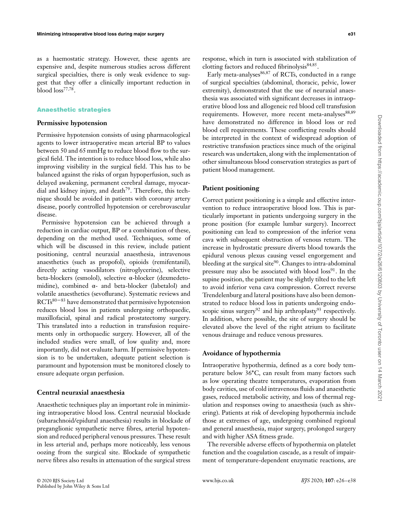as a haemostatic strategy. However, these agents are expensive and, despite numerous studies across different surgical specialties, there is only weak evidence to suggest that they offer a clinically important reduction in blood loss77*,*78.

# **Anaesthetic strategies**

## **Permissive hypotension**

Permissive hypotension consists of using pharmacological agents to lower intraoperative mean arterial BP to values between 50 and 65 mmHg to reduce blood flow to the surgical field. The intention is to reduce blood loss, while also improving visibility in the surgical field. This has to be balanced against the risks of organ hypoperfusion, such as delayed awakening, permanent cerebral damage, myocardial and kidney injury, and death<sup>79</sup>. Therefore, this technique should be avoided in patients with coronary artery disease, poorly controlled hypotension or cerebrovascular disease.

Permissive hypotension can be achieved through a reduction in cardiac output, BP or a combination of these, depending on the method used. Techniques, some of which will be discussed in this review, include patient positioning, central neuraxial anaesthesia, intravenous anaesthetics (such as propofol), opioids (remifentanil), directly acting vasodilators (nitroglycerine), selective beta-blockers (esmolol), selective α-blocker (dexmedetomidine), combined  $\alpha$ - and beta-blocker (labetalol) and volatile anaesthetics (sevoflurane). Systematic reviews and  $RCTs<sup>80-83</sup>$  have demonstrated that permissive hypotension reduces blood loss in patients undergoing orthopaedic, maxillofacial, spinal and radical prostatectomy surgery. This translated into a reduction in transfusion requirements only in orthopaedic surgery. However, all of the included studies were small, of low quality and, more importantly, did not evaluate harm. If permissive hypotension is to be undertaken, adequate patient selection is paramount and hypotension must be monitored closely to ensure adequate organ perfusion.

## **Central neuraxial anaesthesia**

Anaesthetic techniques play an important role in minimizing intraoperative blood loss. Central neuraxial blockade (subarachnoid/epidural anaesthesia) results in blockade of preganglionic sympathetic nerve fibres, arterial hypotension and reduced peripheral venous pressures. These result in less arterial and, perhaps more noticeably, less venous oozing from the surgical site. Blockade of sympathetic nerve fibres also results in attenuation of the surgical stress

response, which in turn is associated with stabilization of clotting factors and reduced fibrinolysis<sup>84</sup>*,*85.

Early meta-analyses<sup>86,87</sup> of RCTs, conducted in a range of surgical specialties (abdominal, thoracic, pelvic, lower extremity), demonstrated that the use of neuraxial anaesthesia was associated with significant decreases in intraoperative blood loss and allogeneic red blood cell transfusion requirements. However, more recent meta-analyses<sup>88,89</sup> have demonstrated no difference in blood loss or red blood cell requirements. These conflicting results should be interpreted in the context of widespread adoption of restrictive transfusion practices since much of the original research was undertaken, along with the implementation of other simultaneous blood conservation strategies as part of patient blood management.

## **Patient positioning**

Correct patient positioning is a simple and effective intervention to reduce intraoperative blood loss. This is particularly important in patients undergoing surgery in the prone position (for example lumbar surgery). Incorrect positioning can lead to compression of the inferior vena cava with subsequent obstruction of venous return. The increase in hydrostatic pressure diverts blood towards the epidural venous plexus causing vessel engorgement and bleeding at the surgical site $90$ . Changes to intra-abdominal pressure may also be associated with blood  $loss<sup>91</sup>$ . In the supine position, the patient may be slightly tilted to the left to avoid inferior vena cava compression. Correct reverse Trendelenburg and lateral positions have also been demonstrated to reduce blood loss in patients undergoing endoscopic sinus surgery<sup>92</sup> and hip arthroplasty<sup>93</sup> respectively. In addition, where possible, the site of surgery should be elevated above the level of the right atrium to facilitate venous drainage and reduce venous pressures.

## **Avoidance of hypothermia**

Intraoperative hypothermia, defined as a core body temperature below 36∘C, can result from many factors such as low operating theatre temperatures, evaporation from body cavities, use of cold intravenous fluids and anaesthetic gases, reduced metabolic activity, and loss of thermal regulation and responses owing to anaesthesia (such as shivering). Patients at risk of developing hypothermia include those at extremes of age, undergoing combined regional and general anaesthesia, major surgery, prolonged surgery and with higher ASA fitness grade.

The reversible adverse effects of hypothermia on platelet function and the coagulation cascade, as a result of impairment of temperature-dependent enzymatic reactions, are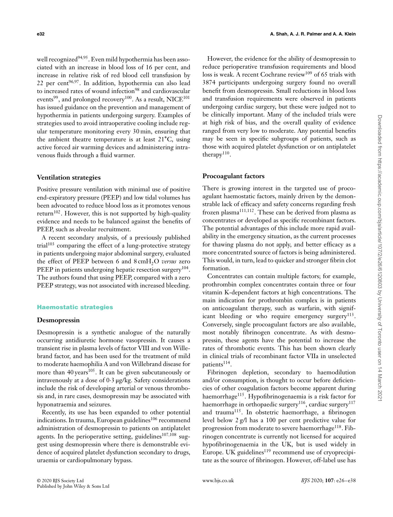well recognized<sup>94,95</sup>. Even mild hypothermia has been associated with an increase in blood loss of 16 per cent, and increase in relative risk of red blood cell transfusion by 22 per cent96*,*97. In addition, hypothermia can also lead to increased rates of wound infection<sup>98</sup> and cardiovascular events<sup>99</sup>, and prolonged recovery<sup>100</sup>. As a result, NICE<sup>101</sup> has issued guidance on the prevention and management of hypothermia in patients undergoing surgery. Examples of strategies used to avoid intraoperative cooling include regular temperature monitoring every 30 min, ensuring that the ambient theatre temperature is at least 21∘C, using active forced air warming devices and administering intravenous fluids through a fluid warmer.

## **Ventilation strategies**

Positive pressure ventilation with minimal use of positive end-expiratory pressure (PEEP) and low tidal volumes has been advocated to reduce blood loss as it promotes venous return<sup>102</sup>. However, this is not supported by high-quality evidence and needs to be balanced against the benefits of PEEP, such as alveolar recruitment.

A recent secondary analysis, of a previously published trial<sup>103</sup> comparing the effect of a lung-protective strategy in patients undergoing major abdominal surgery, evaluated the effect of PEEP between 6 and 8 cmH<sub>2</sub>O *versus* zero PEEP in patients undergoing hepatic resection surgery<sup>104</sup>. The authors found that using PEEP, compared with a zero PEEP strategy, was not associated with increased bleeding.

## **Haemostatic strategies**

#### **Desmopressin**

Desmopressin is a synthetic analogue of the naturally occurring antidiuretic hormone vasopressin. It causes a transient rise in plasma levels of factor VIII and von Willebrand factor, and has been used for the treatment of mild to moderate haemophilia A and von Willebrand disease for more than  $40 \text{ years}^{105}$ . It can be given subcutaneously or intravenously at a dose of 0⋅3 μg/kg. Safety considerations include the risk of developing arterial or venous thrombosis and, in rare cases, desmopressin may be associated with hyponatraemia and seizures.

Recently, its use has been expanded to other potential indications. In trauma, European guidelines<sup>106</sup> recommend administration of desmopressin to patients on antiplatelet agents. In the perioperative setting, guidelines<sup>107,108</sup> suggest using desmopressin where there is demonstrable evidence of acquired platelet dysfunction secondary to drugs, uraemia or cardiopulmonary bypass.

However, the evidence for the ability of desmopressin to reduce perioperative transfusion requirements and blood loss is weak. A recent Cochrane review<sup>109</sup> of 65 trials with 3874 participants undergoing surgery found no overall benefit from desmopressin. Small reductions in blood loss and transfusion requirements were observed in patients undergoing cardiac surgery, but these were judged not to be clinically important. Many of the included trials were at high risk of bias, and the overall quality of evidence ranged from very low to moderate. Any potential benefits may be seen in specific subgroups of patients, such as those with acquired platelet dysfunction or on antiplatelet therapy<sup>110</sup>.

# **Procoagulant factors**

There is growing interest in the targeted use of procoagulant haemostatic factors, mainly driven by the demonstrable lack of efficacy and safety concerns regarding fresh frozen plasma<sup>111</sup>*,*112. These can be derived from plasma as concentrates or developed as specific recombinant factors. The potential advantages of this include more rapid availability in the emergency situation, as the current processes for thawing plasma do not apply, and better efficacy as a more concentrated source of factors is being administered. This would, in turn, lead to quicker and stronger fibrin clot formation.

Concentrates can contain multiple factors; for example, prothrombin complex concentrates contain three or four vitamin K-dependent factors at high concentrations. The main indication for prothrombin complex is in patients on anticoagulant therapy, such as warfarin, with significant bleeding or who require emergency surgery $113$ . Conversely, single procoagulant factors are also available, most notably fibrinogen concentrate. As with desmopressin, these agents have the potential to increase the rates of thrombotic events. This has been shown clearly in clinical trials of recombinant factor VIIa in unselected patients<sup>114</sup>.

Fibrinogen depletion, secondary to haemodilution and/or consumption, is thought to occur before deficiencies of other coagulation factors become apparent during haemorrhage<sup>115</sup>. Hypofibrinogenaemia is a risk factor for haemorrhage in orthopaedic surgery<sup>116</sup>, cardiac surgery<sup>117</sup> and trauma<sup>115</sup>. In obstetric haemorrhage, a fibrinogen level below 2 g/l has a 100 per cent predictive value for progression from moderate to severe haemorrhage<sup>118</sup>. Fibrinogen concentrate is currently not licensed for acquired hypofibrinogenaemia in the UK, but is used widely in Europe. UK guidelines<sup>119</sup> recommend use of cryoprecipitate as the source of fibrinogen. However, off-label use has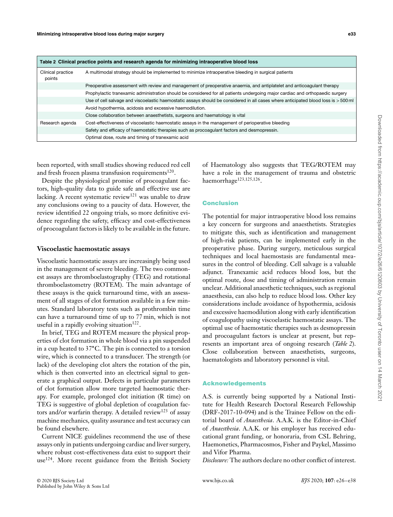| Table 2 Clinical practice points and research agenda for minimizing intraoperative blood loss |                                                                                                                                    |  |  |  |  |
|-----------------------------------------------------------------------------------------------|------------------------------------------------------------------------------------------------------------------------------------|--|--|--|--|
| Clinical practice<br>points                                                                   | A multimodal strategy should be implemented to minimize intraoperative bleeding in surgical patients                               |  |  |  |  |
|                                                                                               | Preoperative assessment with review and management of preoperative anaemia, and antiplatelet and anticoagulant therapy             |  |  |  |  |
|                                                                                               | Prophylactic tranexamic administration should be considered for all patients undergoing major cardiac and orthopaedic surgery      |  |  |  |  |
|                                                                                               | Use of cell salvage and viscoelastic haemostatic assays should be considered in all cases where anticipated blood loss is > 500 ml |  |  |  |  |
|                                                                                               | Avoid hypothermia, acidosis and excessive haemodilution.                                                                           |  |  |  |  |
|                                                                                               | Close collaboration between anaesthetists, surgeons and haematology is vital                                                       |  |  |  |  |
| Research agenda                                                                               | Cost-effectiveness of viscoelastic haemostatic assays in the management of perioperative bleeding                                  |  |  |  |  |
|                                                                                               | Safety and efficacy of haemostatic therapies such as procoagulant factors and desmopressin.                                        |  |  |  |  |
|                                                                                               | Optimal dose, route and timing of tranexamic acid                                                                                  |  |  |  |  |

been reported, with small studies showing reduced red cell and fresh frozen plasma transfusion requirements $120$ .

Despite the physiological promise of procoagulant factors, high-quality data to guide safe and effective use are lacking. A recent systematic review<sup>121</sup> was unable to draw any conclusions owing to a paucity of data. However, the review identified 22 ongoing trials, so more definitive evidence regarding the safety, efficacy and cost-effectiveness of procoagulant factors is likely to be available in the future.

## **Viscoelastic haemostatic assays**

Viscoelastic haemostatic assays are increasingly being used in the management of severe bleeding. The two commonest assays are thromboelastography (TEG) and rotational thromboelastometry (ROTEM). The main advantage of these assays is the quick turnaround time, with an assessment of all stages of clot formation available in a few minutes. Standard laboratory tests such as prothrombin time can have a turnaround time of up to 77 min, which is not useful in a rapidly evolving situation $122$ .

In brief, TEG and ROTEM measure the physical properties of clot formation in whole blood via a pin suspended in a cup heated to 37∘C. The pin is connected to a torsion wire, which is connected to a transducer. The strength (or lack) of the developing clot alters the rotation of the pin, which is then converted into an electrical signal to generate a graphical output. Defects in particular parameters of clot formation allow more targeted haemostatic therapy. For example, prolonged clot initiation (R time) on TEG is suggestive of global depletion of coagulation factors and/or warfarin therapy. A detailed review<sup>123</sup> of assay machine mechanics, quality assurance and test accuracy can be found elsewhere.

Current NICE guidelines recommend the use of these assays only in patients undergoing cardiac and liver surgery, where robust cost-effectiveness data exist to support their use<sup>124</sup>. More recent guidance from the British Society

of Haematology also suggests that TEG/ROTEM may have a role in the management of trauma and obstetric haemorrhage<sup>123</sup>*,*125*,*126.

## **Conclusion**

The potential for major intraoperative blood loss remains a key concern for surgeons and anaesthetists. Strategies to mitigate this, such as identification and management of high-risk patients, can be implemented early in the preoperative phase. During surgery, meticulous surgical techniques and local haemostasis are fundamental measures in the control of bleeding. Cell salvage is a valuable adjunct. Tranexamic acid reduces blood loss, but the optimal route, dose and timing of administration remain unclear. Additional anaesthetic techniques, such as regional anaesthesia, can also help to reduce blood loss. Other key considerations include avoidance of hypothermia, acidosis and excessive haemodilution along with early identification of coagulopathy using viscoelastic haemostatic assays. The optimal use of haemostatic therapies such as desmopressin and procoagulant factors is unclear at present, but represents an important area of ongoing research (*Table 2*). Close collaboration between anaesthetists, surgeons, haematologists and laboratory personnel is vital.

## **Acknowledgements**

A.S. is currently being supported by a National Institute for Health Research Doctoral Research Fellowship (DRF-2017-10-094) and is the Trainee Fellow on the editorial board of *Anaesthesia*. A.A.K. is the Editor-in-Chief of *Anaesthesia*. A.A.K. or his employer has received educational grant funding, or honoraria, from CSL Behring, Haemonetics, Pharmacosmos, Fisher and Paykel, Massimo and Vifor Pharma.

*Disclosure:* The authors declare no other conflict of interest.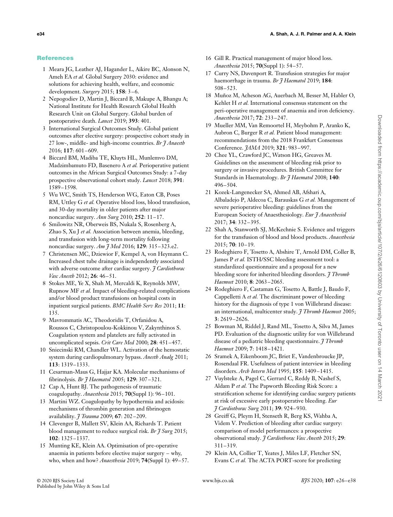# **References**

- 1 Meara JG, Leather AJ, Hagander L, Aikire BC, Alonson N, Ameh EA *et al.* Global Surgery 2030: evidence and solutions for achieving health, welfare, and economic development. *Surgery* 2015; **158**: 3–6.
- 2 Nepogodiev D, Martin J, Biccard B, Makupe A, Bhangu A; National Institute for Health Research Global Health Research Unit on Global Surgery. Global burden of postoperative death. *Lancet* 2019; **393**: 401.
- 3 International Surgical Outcomes Study. Global patient outcomes after elective surgery: prospective cohort study in 27 low-, middle- and high-income countries. *Br J Anaesth* 2016; **117**: 601–609.
- 4 Biccard BM, Madiba TE, Kluyts HL, Munlemvo DM, Madzimbamuto FD, Basenero A *et al.* Perioperative patient outcomes in the African Surgical Outcomes Study: a 7-day prospective observational cohort study. *Lancet* 2018; **391**: 1589–1598.
- 5 Wu WC, Smith TS, Henderson WG, Eaton CB, Poses RM, Uttley G *et al.* Operative blood loss, blood transfusion, and 30-day mortality in older patients after major noncardiac surgery. *Ann Surg* 2010; **252**: 11–17.
- 6 Smilowitz NR, Oberweis BS, Nukala S, Rosenberg A, Zhao S, Xu J *et al.* Association between anemia, bleeding, and transfusion with long-term mortality following noncardiac surgery. *Am J Med* 2016; **129**: 315–323.e2.
- 7 Christensen MC, Dziewior F, Kempel A, von Heymann C. Increased chest tube drainage is independently associated with adverse outcome after cardiac surgery. *J Cardiothorac Vasc Anesth* 2012; **26**: 46–51.
- 8 Stokes ME, Ye X, Shah M, Mercaldi K, Reynolds MW, Rupnow MF *et al.* Impact of bleeding-related complications and/or blood product transfusions on hospital costs in inpatient surgical patients. *BMC Health Serv Res* 2011; **11**: 135.
- 9 Mavrommatis AC, Theodoridis T, Orfanidou A, Roussos C, Christopoulou-Kokkinou V, Zakynthinos S. Coagulation system and platelets are fully activated in uncomplicated sepsis. *Crit Care Med* 2000; **28**: 451–457.
- 10 Sniecinski RM, Chandler WL. Activation of the hemostatic system during cardiopulmonary bypass. *Anesth Analg* 2011; **113**: 1319–1333.
- 11 Cesarman-Maus G, Hajjar KA. Molecular mechanisms of fibrinolysis. *Br J Haematol* 2005; **129**: 307–321.
- 12 Cap A, Hunt BJ. The pathogenesis of traumatic coagulopathy. *Anaesthesia* 2015; **70**(Suppl 1): 96–101.
- 13 Martini WZ. Coagulopathy by hypothermia and acidosis: mechanisms of thrombin generation and fibrinogen availability. *J Trauma* 2009; **67**: 202–209.
- 14 Clevenger B, Mallett SV, Klein AA, Richards T. Patient blood management to reduce surgical risk. *Br J Surg* 2015; **102**: 1325–1337.
- 15 Munting KE, Klein AA. Optimisation of pre-operative anaemia in patients before elective major surgery – why, who, when and how? *Anaesthesia* 2019; **74**(Suppl 1): 49–57.
- 16 Gill R. Practical management of major blood loss. *Anaesthesia* 2015; **70**(Suppl 1): 54–57.
- 17 Curry NS, Davenport R. Transfusion strategies for major haemorrhage in trauma. *Br J Haematol* 2019; **184**: 508–523.
- 18 Muñoz M, Acheson AG, Auerbach M, Besser M, Habler O, Kehlet H *et al.* International consensus statement on the peri-operative management of anaemia and iron deficiency. *Anaesthesia* 2017; **72**: 233–247.
- 19 Mueller MM, Van Remoortel H, Meybohm P, Aranko K, Aubron C, Burger R *et al.* Patient blood management: recommendations from the 2018 Frankfurt Consensus Conference. *JAMA* 2019; **321**: 983–997.
- 20 Chee YL, Crawford JC, Watson HG, Greaves M. Guidelines on the assessment of bleeding risk prior to surgery or invasive procedures. British Committee for Standards in Haematology. *Br J Haematol* 2008; **140**: 496–504.
- 21 Kozek-Langenecker SA, Ahmed AB, Afshari A, Albaladejo P, Aldecoa C, Barauskas G *et al.* Management of severe perioperative bleeding: guidelines from the European Society of Anaesthesiology. *Eur J Anaesthesiol* 2017; **34**: 332–395.
- 22 Shah A, Stanworth SJ, McKechnie S. Evidence and triggers for the transfusion of blood and blood products. *Anaesthesia* 2015; **70**: 10–19.
- 23 Rodeghiero F, Tosetto A, Abshire T, Arnold DM, Coller B, James P *et al.* ISTH/SSC bleeding assessment tool: a standardized questionnaire and a proposal for a new bleeding score for inherited bleeding disorders. *J Thromb Haemost* 2010; **8**: 2063–2065.
- 24 Rodeghiero F, Castaman G, Tosetto A, Battle J, Baudo F, Cappelletti A *et al.* The discriminant power of bleeding history for the diagnosis of type 1 von Willebrand disease: an international, multicenter study. *J Thromb Haemost* 2005; **3**: 2619–2626.
- 25 Bowman M, Riddel J, Rand ML, Tosetto A, Silva M, James PD. Evaluation of the diagnostic utility for von Willebrand disease of a pediatric bleeding questionnaire. *J Thromb Haemost* 2009; **7**: 1418–1421.
- 26 Sramek A, Eikenboom JC, Briet E, Vandenbroucke JP, Rosendaal FR. Usefulness of patient interview in bleeding disorders. *Arch Intern Med* 1995; **155**: 1409–1415.
- 27 Vuylsteke A, Pagel C, Gerrard C, Reddy B, Nashef S, Aldam P *et al.* The Papworth Bleeding Risk Score: a stratification scheme for identifying cardiac surgery patients at risk of excessive early postoperative bleeding. *Eur J Cardiothorac Surg* 2011; **39**: 924–930.
- 28 Greiff G, Pleym H, Stenseth R, Berg KS, Wahba A, Videm V. Prediction of bleeding after cardiac surgery: comparison of model performances: a prospective observational study. *J Cardiothorac Vasc Anesth* 2015; **29**: 311–319.
- 29 Klein AA, Collier T, Yeates J, Miles LF, Fletcher SN, Evans C *et al.* The ACTA PORT-score for predicting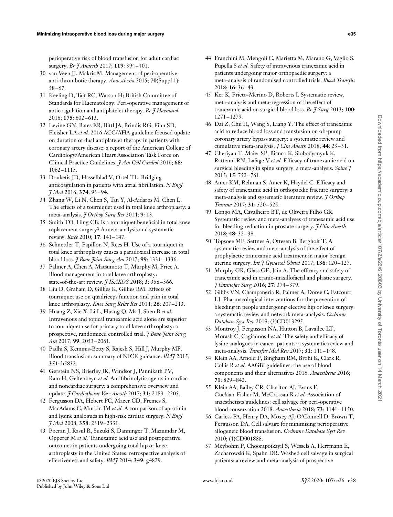perioperative risk of blood transfusion for adult cardiac surgery. *Br J Anaesth* 2017; **119**: 394–401.

- 30 van Veen JJ, Makris M. Management of peri-operative anti-thrombotic therapy. *Anaesthesia* 2015; **70**(Suppl 1): 58–67.
- 31 Keeling D, Tait RC, Watson H; British Committee of Standards for Haematology. Peri-operative management of anticoagulation and antiplatelet therapy. *Br J Haematol* 2016; **175**: 602–613.
- 32 Levine GN, Bates ER, Bittl JA, Brindis RG, Fihn SD, Fleisher LA *et al.* 2016 ACC/AHA guideline focused update on duration of dual antiplatelet therapy in patients with coronary artery disease: a report of the American College of Cardiology/American Heart Association Task Force on Clinical Practice Guidelines. *J Am Coll Cardiol* 2016; **68**: 1082–1115.
- 33 Douketis JD, Hasselblad V, Ortel TL. Bridging anticoagulation in patients with atrial fibrillation. *N Engl J Med* 2016; **374**: 93–94.
- 34 Zhang W, Li N, Chen S, Tan Y, Al-Aidaros M, Chen L. The effects of a tourniquet used in total knee arthroplasty: a meta-analysis. *J Orthop Surg Res* 2014; **9**: 13.
- 35 Smith TO, Hing CB. Is a tourniquet beneficial in total knee replacement surgery? A meta-analysis and systematic review. *Knee* 2010; **17**: 141–147.
- 36 Schnettler T, Papillon N, Rees H. Use of a tourniquet in total knee arthroplasty causes a paradoxical increase in total blood loss. *J Bone Joint Surg Am* 2017; **99**: 1331–1336.
- 37 Palmer A, Chen A, Matsumoto T, Murphy M, Price A. Blood management in total knee arthroplasty: state-of-the-art review. *J ISAKOS* 2018; **3**: 358–366.
- 38 Liu D, Graham D, Gillies K, Gillies RM. Effects of tourniquet use on quadriceps function and pain in total knee arthroplasty. *Knee Surg Relat Res* 2014; **26**: 207–213.
- 39 Huang Z, Xie X, Li L, Huang Q, Ma J, Shen B *et al.* Intravenous and topical tranexamic acid alone are superior to tourniquet use for primary total knee arthroplasty: a prospective, randomized controlled trial. *J Bone Joint Surg Am* 2017; **99**: 2053–2061.
- 40 Padhi S, Kemmis-Betty S, Rajesh S, Hill J, Murphy MF. Blood transfusion: summary of NICE guidance. *BMJ* 2015; **351**: h5832.
- 41 Gerstein NS, Brierley JK, Windsor J, Pannikath PV, Ram H, Gelfenbeyn *et al.* Antifibrinolytic agents in cardiac and noncardiac surgery: a comprehensive overview and update. *J Cardiothorac Vasc Anesth* 2017; **31**: 2183–2205.
- 42 Fergusson DA, Hebert PC, Mazer CD, Fremes S, MacAdams C, Murkin JM *et al.* A comparison of aprotinin and lysine analogues in high-risk cardiac surgery. *N Engl J Med* 2008; **358**: 2319–2331.
- 43 Poeran J, Rasul R, Suzuki S, Danninger T, Mazumdar M, Opperer M *et al.* Tranexamic acid use and postoperative outcomes in patients undergoing total hip or knee arthroplasty in the United States: retrospective analysis of effectiveness and safety. *BMJ* 2014; **349**: g4829.
- 44 Franchini M, Mengoli C, Marietta M, Marano G, Vaglio S, Pupella S *et al.* Safety of intravenous tranexamic acid in patients undergoing major orthopaedic surgery: a meta-analysis of randomised controlled trials. *Blood Transfus* 2018; **16**: 36–43.
- 45 Ker K, Prieto-Merino D, Roberts I. Systematic review, meta-analysis and meta-regression of the effect of tranexamic acid on surgical blood loss. *Br J Surg* 2013; **100**: 1271–1279.
- 46 Dai Z, Chu H, Wang S, Liang Y. The effect of tranexamic acid to reduce blood loss and transfusion on off-pump coronary artery bypass surgery: a systematic review and cumulative meta-analysis. *J Clin Anesth* 2018; **44**: 23–31.
- 47 Cheriyan T, Maier SP, Bianco K, Slobodyanyuk K, Rattenni RN, Lafage V *et al.* Efficacy of tranexamic acid on surgical bleeding in spine surgery: a meta-analysis. *Spine J* 2015; **15**: 752–761.
- 48 Amer KM, Rehman S, Amer K, Haydel C. Efficacy and safety of tranexamic acid in orthopaedic fracture surgery: a meta-analysis and systematic literature review. *J Orthop Trauma* 2017; **31**: 520–525.
- 49 Longo MA, Cavalheiro BT, de Oliveira Filho GR. Systematic review and meta-analyses of tranexamic acid use for bleeding reduction in prostate surgery. *J Clin Anesth* 2018; **48**: 32–38.
- 50 Topsoee MF, Settnes A, Ottesen B, Bergholt T. A systematic review and meta-analysis of the effect of prophylactic tranexamic acid treatment in major benign uterine surgery. *Int J Gynaecol Obstet* 2017; **136**: 120–127.
- 51 Murphy GR, Glass GE, Jain A. The efficacy and safety of tranexamic acid in cranio-maxillofacial and plastic surgery. *J Craniofac Surg* 2016; **27**: 374–379.
- 52 Gibbs VN, Champaneria R, Palmer A, Doree C, Estcourt LJ. Pharmacological interventions for the prevention of bleeding in people undergoing elective hip or knee surgery: a systematic review and network meta-analysis. *Cochrane Database Syst Rev* 2019; (3)CD013295.
- 53 Montroy J, Fergusson NA, Hutton B, Lavallee LT, Morash C, Cagiannos I *et al.* The safety and efficacy of lysine analogues in cancer patients: a systematic review and meta-analysis. *Transfus Med Rev* 2017; **31**: 141–148.
- 54 Klein AA, Arnold P, Bingham RM, Brohi K, Clark R, Collis R *et al.* AAGBI guidelines: the use of blood components and their alternatives 2016. *Anaesthesia* 2016; **71**: 829–842.
- 55 Klein AA, Bailey CR, Charlton AJ, Evans E, Guckian-Fisher M, McCrossan R *et al.* Association of anaesthetists guidelines: cell salvage for peri-operative blood conservation 2018. *Anaesthesia* 2018; **73**: 1141–1150.
- 56 Carless PA, Henry DA, Moxey AJ, O'Connell D, Brown T, Fergusson DA. Cell salvage for minimising perioperative allogeneic blood transfusion. *Cochrane Database Syst Rev* 2010; (4)CD001888.
- 57 Meybohm P, Choorapoikayil S, Wessels A, Herrmann E, Zacharowski K, Spahn DR. Washed cell salvage in surgical patients: a review and meta-analysis of prospective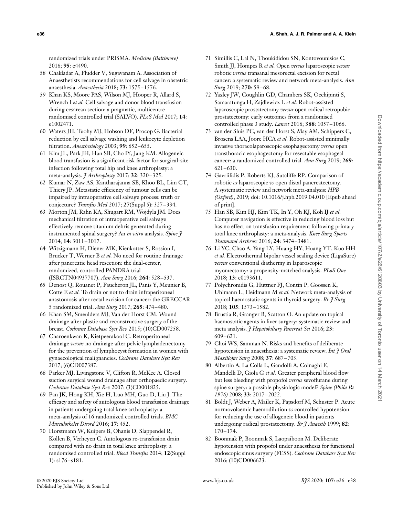randomized trials under PRISMA. *Medicine (Baltimore)* 2016; **95**: e4490.

- 58 Chakladar A, Fludder V, Sugavanam A. Association of Anaesthetists recommendations for cell salvage in obstetric anaesthesia. *Anaesthesia* 2018; **73**: 1575–1576.
- 59 Khan KS, Moore PAS, Wilson MJ, Hooper R, Allard S, Wrench I *et al.* Cell salvage and donor blood transfusion during cesarean section: a pragmatic, multicentre randomised controlled trial (SALVO). *PLoS Med* 2017; **14**: e1002471.
- 60 Waters JH, Tuohy MJ, Hobson DF, Procop G. Bacterial reduction by cell salvage washing and leukocyte depletion filtration. *Anesthesiology* 2003; **99**: 652–655.
- 61 Kim JL, Park JH, Han SB, Cho IY, Jang KM. Allogeneic blood transfusion is a significant risk factor for surgical-site infection following total hip and knee arthroplasty: a meta-analysis. *J Arthroplasty* 2017; **32**: 320–325.
- 62 Kumar N, Zaw AS, Kantharajanna SB, Khoo BL, Lim CT, Thiery JP. Metastatic efficiency of tumour cells can be impaired by intraoperative cell salvage process: truth or conjecture? *Transfus Med* 2017; **27**(Suppl 5): 327–334.
- 63 Morton JM, Rahn KA, Shugart RM, Wojdyla JM. Does mechanical filtration of intraoperative cell salvage effectively remove titanium debris generated during instrumented spinal surgery? An *in vitro* analysis. *Spine J* 2014; **14**: 3011–3017.
- 64 Witzigmann H, Diener MK, Kienkotter S, Rossion I, Brucker T, Werner B *et al.* No need for routine drainage after pancreatic head resection: the dual-center, randomized, controlled PANDRA trial (ISRCTN04937707). *Ann Surg* 2016; **264**: 528–537.
- 65 Denost Q, Rouanet P, Faucheron JL, Panis Y, Meunier B, Cotte E *et al.* To drain or not to drain infraperitoneal anastomosis after rectal excision for cancer: the GRECCAR 5 randomized trial. *Ann Surg* 2017; **265**: 474–480.
- 66 Khan SM, Smeulders MJ, Van der Horst CM. Wound drainage after plastic and reconstructive surgery of the breast. *Cochrane Database Syst Rev* 2015; (10)CD007258.
- 67 Charoenkwan K, Kietpeerakool C. Retroperitoneal drainage *versus* no drainage after pelvic lymphadenectomy for the prevention of lymphocyst formation in women with gynaecological malignancies. *Cochrane Database Syst Rev* 2017; (6)CD007387.
- 68 Parker MJ, Livingstone V, Clifton R, McKee A. Closed suction surgical wound drainage after orthopaedic surgery. *Cochrane Database Syst Rev* 2007; (3)CD001825.
- 69 Pan JK, Hong KH, Xie H, Luo MH, Guo D, Liu J. The efficacy and safety of autologous blood transfusion drainage in patients undergoing total knee arthroplasty: a meta-analysis of 16 randomized controlled trials. *BMC Musculoskelet Disord* 2016; **17**: 452.
- 70 Horstmann W, Kuipers B, Ohanis D, Slappendel R, Kollen B, Verheyen C. Autologous re-transfusion drain compared with no drain in total knee arthroplasty: a randomised controlled trial. *Blood Transfus* 2014; **12**(Suppl 1): s176–s181.
- 71 Simillis C, Lal N, Thoukididou SN, Kontovounisios C, Smith JJ, Hompes R *et al.* Open *versus* laparoscopic *versus* robotic *versus* transanal mesorectal excision for rectal cancer: a systematic review and network meta-analysis. *Ann Surg* 2019; **270**: 59–68.
- 72 Yaxley JW, Coughlin GD, Chambers SK, Occhipinti S, Samaratunga H, Zajdlewicz L *et al.* Robot-assisted laparoscopic prostatectomy *versus* open radical retropubic prostatectomy: early outcomes from a randomised controlled phase 3 study. *Lancet* 2016; **388**: 1057–1066.
- 73 van der Sluis PC, van der Horst S, May AM, Schippers C, Brosens LAA, Joore HCA *et al.* Robot-assisted minimally invasive thoracolaparoscopic esophagectomy *versus* open transthoracic esophagectomy for resectable esophageal cancer: a randomized controlled trial. *Ann Surg* 2019; **269**: 621–630.
- 74 Gavriilidis P, Roberts KJ, Sutcliffe RP. Comparison of robotic *vs* laparoscopic *vs* open distal pancreatectomy. A systematic review and network meta-analysis: *HPB (Oxford)*, 2019; doi: [10.1016/j.hpb.2019.04.010](https://doi.org/10.1016/j.hpb.2019.04.010) [Epub ahead of print].
- 75 Han SB, Kim HJ, Kim TK, In Y, Oh KJ, Koh IJ *et al.* Computer navigation is effective in reducing blood loss but has no effect on transfusion requirement following primary total knee arthroplasty: a meta-analysis. *Knee Surg Sports Traumatol Arthrosc* 2016; **24**: 3474–3481.
- 76 Li YC, Chao A, Yang LY, Huang HY, Huang YT, Kuo HH *et al.* Electrothermal bipolar vessel sealing device (LigaSure) *versus* conventional diathermy in laparoscopic myomectomy: a propensity-matched analysis. *PLoS One* 2018; **13**: e0193611.
- 77 Polychronidis G, Huttner FJ, Contin P, Goossen K, Uhlmann L, Heidmann M *et al.* Network meta-analysis of topical haemostatic agents in thyroid surgery. *Br J Surg* 2018; **105**: 1573–1582.
- 78 Brustia R, Granger B, Scatton O. An update on topical haemostatic agents in liver surgery: systematic review and meta analysis. *J Hepatobiliary Pancreat Sci* 2016; **23**: 609–621.
- 79 Choi WS, Samman N. Risks and benefits of deliberate hypotension in anaesthesia: a systematic review. *Int J Oral Maxillofac Surg* 2008; **37**: 687–703.
- 80 Albertin A, La Colla L, Gandolfi A, Colnaghi E, Mandelli D, Giola G *et al.* Greater peripheral blood flow but less bleeding with propofol *versus* sevoflurane during spine surgery: a possible physiologic model? *Spine (Phila Pa 1976)* 2008; **33**: 2017–2022.
- 81 Boldt J, Weber A, Mailer K, Papsdorf M, Schuster P. Acute normovolaemic haemodilution *vs* controlled hypotension for reducing the use of allogeneic blood in patients undergoing radical prostatectomy. *Br J Anaesth* 1999; **82**: 170–174.
- 82 Boonmak P, Boonmak S, Laopaiboon M. Deliberate hypotension with propofol under anaesthesia for functional endoscopic sinus surgery (FESS). *Cochrane Database Syst Rev* 2016; (10)CD006623.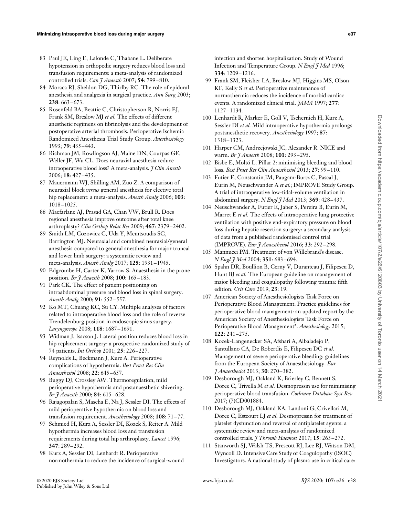- 83 Paul JE, Ling E, Lalonde C, Thabane L. Deliberate hypotension in orthopedic surgery reduces blood loss and transfusion requirements: a meta-analysis of randomized controlled trials. *Can J Anaesth* 2007; **54**: 799–810.
- 84 Moraca RJ, Sheldon DG, Thirlby RC. The role of epidural anesthesia and analgesia in surgical practice. *Ann Surg* 2003; **238**: 663–673.
- 85 Rosenfeld BA, Beattie C, Christopherson R, Norris EJ, Frank SM, Breslow MJ *et al.* The effects of different anesthetic regimens on fibrinolysis and the development of postoperative arterial thrombosis. Perioperative Ischemia Randomized Anesthesia Trial Study Group. *Anesthesiology* 1993; **79**: 435–443.
- 86 Richman JM, Rowlingson AJ, Maine DN, Courpas GE, Weller JF, Wu CL. Does neuraxial anesthesia reduce intraoperative blood loss? A meta-analysis. *J Clin Anesth* 2006; **18**: 427–435.
- 87 Mauermann WJ, Shilling AM, Zuo Z. A comparison of neuraxial block *versus* general anesthesia for elective total hip replacement: a meta-analysis. *Anesth Analg* 2006; **103**: 1018–1025.
- 88 Macfarlane AJ, Prasad GA, Chan VW, Brull R. Does regional anesthesia improve outcome after total knee arthroplasty? *Clin Orthop Relat Res* 2009; **467**: 2379–2402.
- 89 Smith LM, Cozowicz C, Uda Y, Memtsoudis SG, Barrington MJ. Neuraxial and combined neuraxial/general anesthesia compared to general anesthesia for major truncal and lower limb surgery: a systematic review and meta-analysis. *Anesth Analg* 2017; **125**: 1931–1945.
- 90 Edgcombe H, Carter K, Yarrow S. Anaesthesia in the prone position. *Br J Anaesth* 2008; **100**: 165–183.
- 91 Park CK. The effect of patient positioning on intraabdominal pressure and blood loss in spinal surgery. *Anesth Analg* 2000; **91**: 552–557.
- 92 Ko MT, Chuang KC, Su CY. Multiple analyses of factors related to intraoperative blood loss and the role of reverse Trendelenburg position in endoscopic sinus surgery. *Laryngoscope* 2008; **118**: 1687–1691.
- 93 Widman J, Isacson J. Lateral position reduces blood loss in hip replacement surgery: a prospective randomized study of 74 patients. *Int Orthop* 2001; **25**: 226–227.
- 94 Reynolds L, Beckmann J, Kurz A. Perioperative complications of hypothermia. *Best Pract Res Clin Anaesthesiol* 2008; **22**: 645–657.
- 95 Buggy DJ, Crossley AW. Thermoregulation, mild perioperative hypothermia and postanaesthetic shivering. *Br J Anaesth* 2000; **84**: 615–628.
- 96 Rajagopalan S, Mascha E, Na J, Sessler DI. The effects of mild perioperative hypothermia on blood loss and transfusion requirement. *Anesthesiology* 2008; **108**: 71–77.
- 97 Schmied H, Kurz A, Sessler DI, Kozek S, Reiter A. Mild hypothermia increases blood loss and transfusion requirements during total hip arthroplasty. *Lancet* 1996; **347**: 289–292.
- 98 Kurz A, Sessler DI, Lenhardt R. Perioperative normothermia to reduce the incidence of surgical-wound

infection and shorten hospitalization. Study of Wound Infection and Temperature Group. *N Engl J Med* 1996; **334**: 1209–1216.

- 99 Frank SM, Fleisher LA, Breslow MJ, Higgins MS, Olson KF, Kelly S *et al.* Perioperative maintenance of normothermia reduces the incidence of morbid cardiac events. A randomized clinical trial. *JAMA* 1997; **277**: 1127–1134.
- 100 Lenhardt R, Marker E, Goll V, Tschernich H, Kurz A, Sessler DI *et al.* Mild intraoperative hypothermia prolongs postanesthetic recovery. *Anesthesiology* 1997; **87**: 1318–1323.
- 101 Harper CM, Andrzejowski JC, Alexander R. NICE and warm. *Br J Anaesth* 2008; **101**: 293–295.
- 102 Bisbe E, Moltó L. Pillar 2: minimising bleeding and blood loss. *Best Pract Res Clin Anaesthesiol* 2013; **27**: 99–110.
- 103 Futier E, Constantin JM, Paugam-Burtz C, Pascal J, Eurin M, Neuschwander A *et al.*; IMPROVE Study Group. A trial of intraoperative low-tidal-volume ventilation in abdominal surgery. *N Engl J Med* 2013; **369**: 428–437.
- 104 Neuschwander A, Futier E, Jaber S, Pereira B, Eurin M, Marret E *et al.* The effects of intraoperative lung protective ventilation with positive end-expiratory pressure on blood loss during hepatic resection surgery: a secondary analysis of data from a published randomised control trial (IMPROVE). *Eur J Anaesthesiol* 2016; **33**: 292–298.
- 105 Mannucci PM. Treatment of von Willebrand's disease. *N Engl J Med* 2004; **351**: 683–694.
- 106 Spahn DR, Boullion B, Cerny V, Duranteau J, Filipescu D, Hunt BJ *et al.* The European guideline on management of major bleeding and coagulopathy following trauma: fifth edition. *Crit Care* 2019; **23**: 19.
- 107 American Society of Anesthesiologists Task Force on Perioperative Blood Management. Practice guidelines for perioperative blood management: an updated report by the American Society of Anesthesiologists Task Force on Perioperative Blood Management\*. *Anesthesiology* 2015; **122**: 241–275.
- 108 Kozek-Langenecker SA, Afshari A, Albaladejo P, Santullano CA, De Robertlis E, Filipescu DC *et al.* Management of severe perioperative bleeding: guidelines from the European Society of Anaesthesiology. *Eur J Anaesthesiol* 2013; **30**: 270–382.
- 109 Desborough MJ, Oakland K, Brierley C, Bennett S, Doree C, Trivella M *et al.* Desmopressin use for minimising perioperative blood transfusion. *Cochrane Database Syst Rev* 2017; (7)CD001884.
- 110 Desborough MJ, Oakland KA, Landoni G, Crivellari M, Doree C, Estcourt LJ *et al.* Desmopressin for treatment of platelet dysfunction and reversal of antiplatelet agents: a systematic review and meta-analysis of randomized controlled trials. *J Thromb Haemost* 2017; **15**: 263–272.
- 111 Stanworth SJ, Walsh TS, Prescott RJ, Lee RJ, Watson DM, Wyncoll D. Intensive Care Study of Coagulopathy (ISOC) Investigators. A national study of plasma use in critical care: